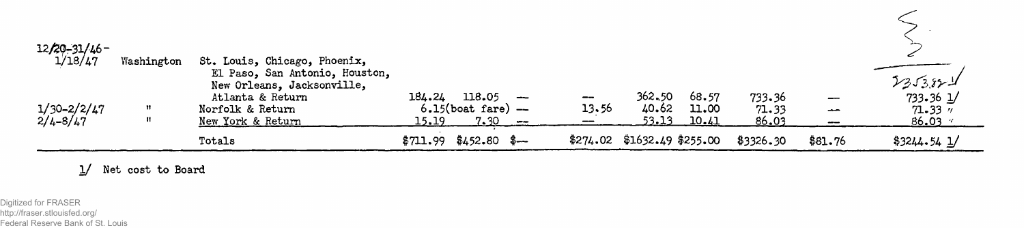| $12/20 - 31/46$ -<br>1/18/47 | Washington | St. Louis, Chicago, Phoenix,<br>El Paso, San Antonio, Houston,                          |                                                                                                               |                  |                                |                         |                          |                                      |                                                                  |
|------------------------------|------------|-----------------------------------------------------------------------------------------|---------------------------------------------------------------------------------------------------------------|------------------|--------------------------------|-------------------------|--------------------------|--------------------------------------|------------------------------------------------------------------|
| 1/30–2/2/47<br>2/4–8/47      |            | New Orleans, Jacksonville,<br>Atlanta & Return<br>Norfolk & Return<br>New York & Return | 184.24<br>118.05<br>$\overline{\phantom{a}}$<br>$6.15$ (boat fare) $-$<br><u>15.19.</u><br><u>7.30</u><br>--- | $-\! -$<br>13.56 | 362,50<br>40.62<br>53.13       | 68.57<br>11.00<br>10.41 | 733.36<br>71.33<br>86.03 | $\overbrace{\phantom{13321}}$<br>$-$ | 2353821<br>$733.36 \underline{1}$<br>$71.33$ $''$<br>$86.03$ $*$ |
|                              |            | Totals                                                                                  | $$711.99$ $$452.80$ $$—$                                                                                      |                  | $$274.02$ $$1632.49$ $$255.00$ |                         | \$3326.30                | \$81.76                              | $$3244.54$ $1/$                                                  |

1/ Net cost to Board

Digitized for FRASER http://fraser.stlouisfed.org/ Federal Reserve Bank of St. Louis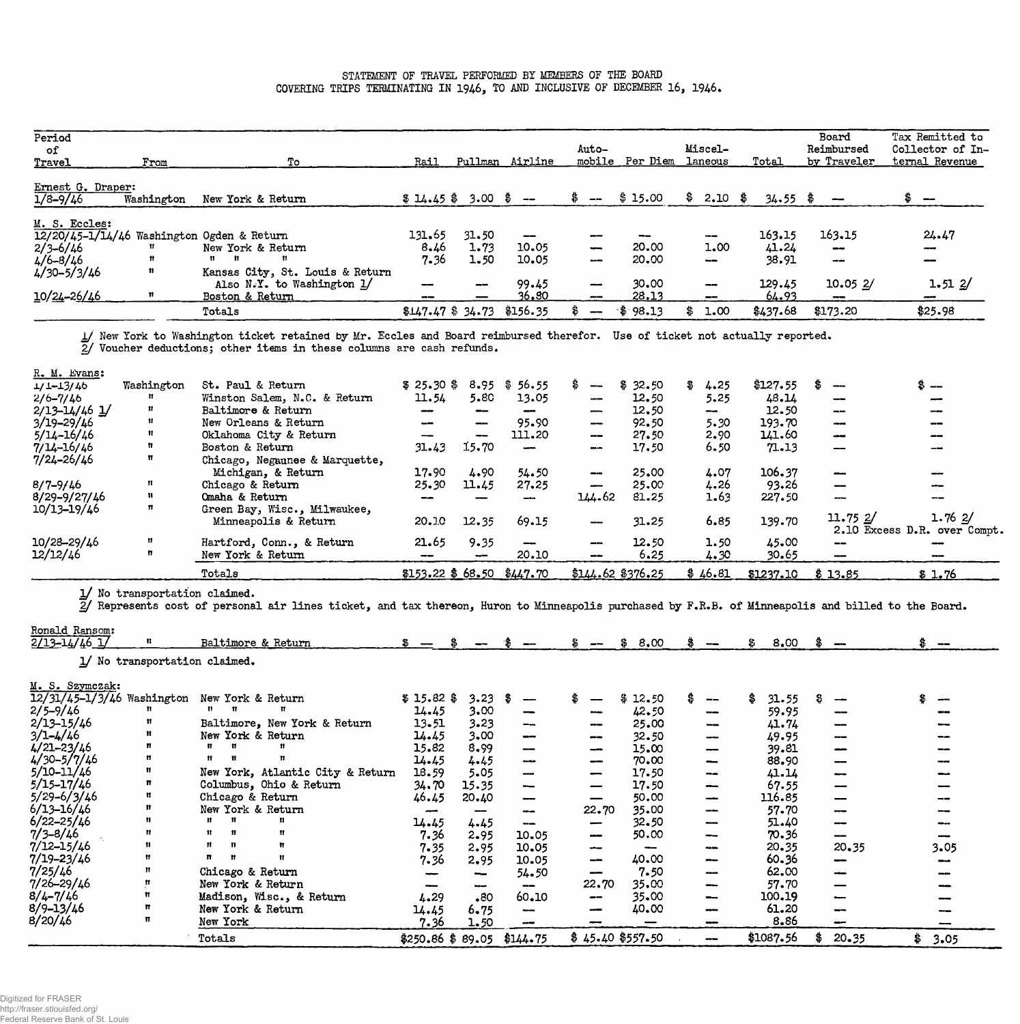## **STATEMENT OF TRAVEL PERFORMED BY MEMBERS OF THE BOARD COVERING TRIPS TERMINATING IN 1946, TO AND INCLUSIVE OF DECEMBER 16, 1946.**

| Period<br>of<br>Travel            | From       | Tо                                                                                 | Rail                | Pullman      | Airline                  | Auto-                           | mobile Per Diem | Miscel-<br>laneous                                        | Total           | Board<br>Reimbursed<br>by Traveler  | Tax Remitted to<br>Collector of In-<br>ternal Revenue |
|-----------------------------------|------------|------------------------------------------------------------------------------------|---------------------|--------------|--------------------------|---------------------------------|-----------------|-----------------------------------------------------------|-----------------|-------------------------------------|-------------------------------------------------------|
| Ernest G. Draper:<br>$1/8 - 9/46$ | Washington | New York & Return                                                                  | $$14.45$ \$ 3.00 \$ |              |                          |                                 | \$15.00         | $$2.10$ \$                                                | $34.55$ \$      | $\overline{\phantom{a}}$            |                                                       |
| M. S. Eccles:                     |            | 12/20/45-1/14/46 Washington Ogden & Return                                         | 131.65              | 31.50        | $\qquad \qquad \qquad -$ |                                 |                 | $\overline{\phantom{m}}$                                  | 163.15          | 163.15                              | 24.47                                                 |
| $2/3 - 6/46$<br>$4/6 - 8/46$      | Ħ<br>n     | New York & Return<br><b>11</b>                                                     | 8.46<br>7.36        | 1.73<br>1.50 | 10.05<br>10.05           | $\overline{\phantom{a}}$<br>--- | 20.00<br>20.00  | 1.00<br>$-$                                               | 41.24<br>38.91  | $-$<br>$-$                          | $\overline{\phantom{m}}$                              |
| $4/30 - 5/3/46$<br>10/24-26/46    | n          | Kansas City, St. Louis & Return<br>Also N.Y. to Washington $1/$<br>Boston & Return | --<br>--            | -            | 99.45<br>36,80           | $-$                             | 30,00<br>28.13  | $\overline{\phantom{m}}$<br>$\qquad \qquad \qquad \qquad$ | 129.45<br>64.93 | 10.052/<br>$\overline{\phantom{m}}$ | 1.512/                                                |
|                                   |            | Totals                                                                             | $$147.47$ $$34.73$  |              | \$156.35                 |                                 | $*$ \$ 98.13    | 1.00<br>\$                                                | \$437.68        | \$173.20                            | \$25.98                                               |

**1/ New York to Washington ticket retained by Mr. Eccles and Board reimbursed therefor. 2/ Voucher deductionsj other items in these columns are cash refunds. Use of ticket not actually reported.** 

| R. M. Evans:        |            |                                |                             |                          |         |                              |                    |            |           |                  |                              |
|---------------------|------------|--------------------------------|-----------------------------|--------------------------|---------|------------------------------|--------------------|------------|-----------|------------------|------------------------------|
| $1/1 - 13/46$       | Washington | St. Paul & Return              | \$25.30\$                   | 8.95                     | \$56.55 | $-\!$ $\!$                   | \$32.50            | 4.25<br>Œ. | \$127.55  |                  | 8 --                         |
| $2/6 - 7/46$        | Ħ          | Winston Salem, N.C. & Return   | 11.54                       | 5.80                     | 13.05   | $\qquad \qquad \blacksquare$ | 12.50              | 5.25       | 48.14     |                  |                              |
| $2/13 - 14/46$ $1/$ | Ħ.         | Baltimore & Return             | --                          | --                       |         | --                           | 12,50              | --         | 12.50     | $- -$            |                              |
| $3/19 - 29/46$      | Ħ          | New Orleans & Return           | --                          | $\overline{\phantom{m}}$ | 95.90   | $ -$                         | 92.50              | 5.30       | 193.70    | $-1$             |                              |
| $5/14 - 16/46$      | Ħ          | Oklahoma City & Return         | --                          | ---                      | 111.20  | $\qquad \qquad \blacksquare$ | 27.50              | 2.90       | 141.60    | $-1$             |                              |
| $7/14 - 16/46$      | n          | Boston & Return                | 31.43                       | 15.70                    |         | --                           | 17.50              | 6.50       | 71.13     |                  |                              |
| $7/24 - 26/46$      | Ħ          | Chicago, Negaunee & Marquette, |                             |                          |         |                              |                    |            |           |                  |                              |
|                     |            | Michigan, & Return             | 17.90                       | 4.90                     | 54.50   | --                           | 25.00              | 4.07       | 106.37    |                  |                              |
| $8/7 - 9/46$        | 11         | Chicago & Return               | 25.30                       | 11.45                    | 27.25   | --                           | 25.00              | 4.26       | 93.26     |                  |                              |
| $8/29 - 9/27/46$    | Ħ.         | Omaha & Return                 |                             |                          |         | 144.62                       | 81.25              | 1.63       | 227.50    |                  |                              |
| 10/13-19/46         | n          | Green Bay, Wisc., Milwaukee,   |                             |                          |         |                              |                    |            |           |                  |                              |
|                     |            | Minneapolis & Return           | 20.10                       | 12.35                    | 69.15   | --                           | 31.25              | 6.85       | 139.70    | 11.752/          | 1.762/                       |
|                     |            |                                |                             |                          |         |                              |                    |            |           |                  | 2.10 Excess D.R. over Compt. |
| 10/28-29/46         | 11         | Hartford, Conn., & Return      | 21.65                       | 9.35                     |         | $- - -$                      | 12.50              | 1.50       | 45.00     | $- -$            |                              |
| 12/12/46            | n          | New York & Return              |                             | حسيسه                    | 20.10   | an an                        | 6.25               | 4.30       | 30.65     | $\hspace{0.5cm}$ |                              |
|                     |            | Totals                         | $$153.22$ \$ 68.50 \$447.70 |                          |         |                              | $$144.62$ \$376.25 | \$46.81    | \$1237.10 | \$13.85          | \$1.76                       |

**l/ No transportation claimed.** 

**2/ Represents cost of personal air lines ticket, and tax thereon, Huron to Minneapolis purchased by F.R.B. of Minneapolis and billed to the Board.** 

| Ronald Ransom:                 | $\mathbf{H}$                  |                                  |                             |          |                               |                   |            |                                 |             |                              |            |
|--------------------------------|-------------------------------|----------------------------------|-----------------------------|----------|-------------------------------|-------------------|------------|---------------------------------|-------------|------------------------------|------------|
| $\frac{2}{13} - 14/46$ 1/      |                               | Baltimore & Return               |                             |          |                               |                   | 8.00<br>\$ |                                 | 8.00<br>\$  | $\bullet$ $-$                |            |
|                                | 1/ No transportation claimed. |                                  |                             |          |                               |                   |            |                                 |             |                              |            |
|                                |                               |                                  |                             |          |                               |                   |            |                                 |             |                              |            |
| M. S. Szymczak:                |                               |                                  |                             |          |                               |                   |            |                                 |             |                              |            |
| $12/31/45 - 1/3/46$ Washington |                               | New York & Return                | $$15.82$ \$                 | 3.23     | -86                           |                   | \$12.50    | $\overline{\phantom{m}}$        | 31.55<br>\$ |                              |            |
| $2/5 - 9/46$                   |                               |                                  | 14.45                       | 3.00     |                               |                   | 42.50      | --                              | 59.95       |                              |            |
| $2/13 - 15/46$                 | n                             | Baltimore, New York & Return     | 13.51                       | $3 - 23$ | $\overline{\phantom{m}}$      |                   | 25.00      | $\qquad \qquad \text{---}$      | 41.74       | --                           |            |
| $3/1 - 4/46$                   | Ħ                             | New York & Return                | 14.45                       | 3.00     | $\overline{\phantom{m}}$      | --                | 32.50      | $-$                             | 49.95       | --                           |            |
| $4/21 - 23/46$                 |                               | Ħ                                | 15.82                       | 8.99     | $\qquad \qquad \qquad \qquad$ | $- -$             | 15.00      | $\qquad \qquad \longrightarrow$ | 39.81       | $\overline{\phantom{a}}$     |            |
| $4/30 - 5/7/46$                | n                             | 11.<br>- 11                      | 14.45                       | 4.45     | $-$                           |                   | 70.00      | -                               | 88.90       | --                           |            |
| $5/10 - 11/46$                 | 11                            | New York, Atlantic City & Return | 18.59                       | 5.05     | $\overline{\phantom{a}}$      |                   | 17.50      | $-$                             | 41.14       | $\qquad \qquad \blacksquare$ |            |
| $5/15 - 17/46$                 | n                             | Columbus, Ohio & Return          | 34.70                       | 15.35    | $\overline{\phantom{m}}$      |                   | 17.50      | $-$                             | 67.55       | --                           |            |
| $5/29 - 6/3/46$                | Ħ                             | Chicago & Return                 | 46.45                       | 20.40    | ---                           |                   | 50.00      | $-$                             | 116.85      | --                           |            |
| $6/13 - 16/46$                 | 11                            | New York & Return                |                             |          | --                            | 22.70             | 35.00      | $-$                             | 57.70       | --                           |            |
| $6/22 - 25/46$                 | 11.                           |                                  | 14.45                       | 4.45     |                               | --                | 32.50      | $\qquad \qquad$                 | 51.40       | --                           |            |
| $7/3 - 8/46$                   | 11                            | Ħ                                | 7.36                        | 2.95     | 10.05                         | $- -$             | 50.00      | $\overline{\phantom{m}}$        | 70.36       | --                           |            |
| $7/12 - 15/46$                 | 11                            | 11.                              | 7.35                        | 2.95     | 10.05                         | ∽                 |            | ---                             | 20.35       | 20.35                        | 3.05       |
| $7/19 - 23/46$                 | Ħ                             | n                                | 7.36                        | 2.95     | 10.05                         | --                | 40.00      | $\overline{\phantom{m}}$        | 60.36       | --                           |            |
| 7/25/46                        | n                             | Chicago & Return                 |                             | --       | 54.50                         | --                | 7.50       | $\overline{\phantom{a}}$        | 62.00       | --                           |            |
| $7/26 - 29/46$                 |                               | New York & Return                |                             |          | $- -$                         | 22.70             | 35.00      | $\overline{\phantom{m}}$        | 57.70       | --                           |            |
| $8/4 - 7/46$                   |                               | Madison, Wisc., & Return         | 4.29                        | .80      | 60.10                         | --                | 35.00      | $\qquad \qquad \longrightarrow$ | 100.19      | --                           |            |
| $8/9 - 13/46$                  |                               | New York & Return                | 14.45                       | $6 - 75$ | --                            |                   | 40.00      |                                 | 61.20       | --                           |            |
| 8/20/46                        | Ħ                             |                                  |                             |          |                               |                   |            |                                 | 8.86        |                              |            |
|                                |                               | New York                         | 7.36                        | 1.50     |                               |                   |            |                                 |             |                              |            |
|                                |                               | Totals                           | $$250.86$ \$ 89.05 \$144.75 |          |                               | $$45.40$ \$557.50 |            |                                 | \$1087.56   | $20 - 35$                    | \$<br>3.05 |